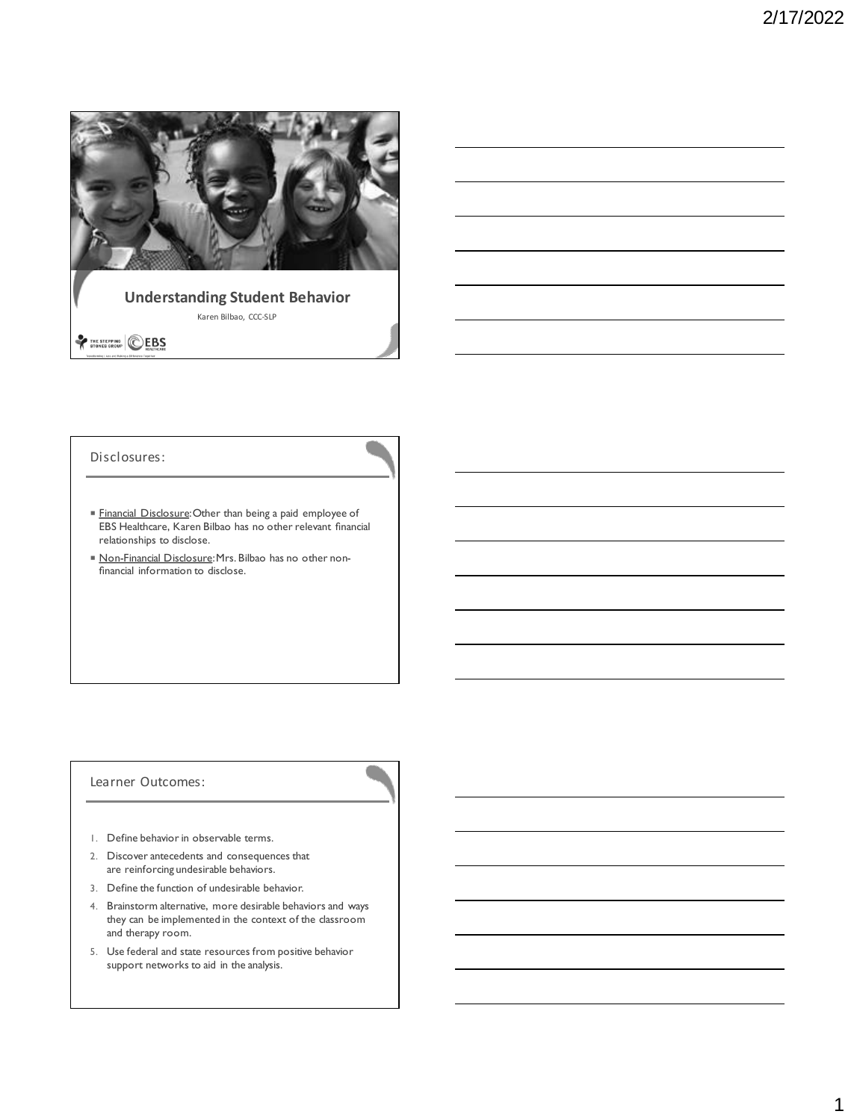

# **Understanding Student Behavior** Karen Bilbao, CCC-SLP

# THE STEPPING EBS

### Disclosures:

- Financial Disclosure: Other than being a paid employee of EBS Healthcare, Karen Bilbao has no other relevant financial relationships to disclose.
- Non-Financial Disclosure: Mrs. Bilbao has no other nonfinancial information to disclose.

## Learner Outcomes:

- 1. Define behavior in observable terms.
- 2. Discover antecedents and consequences that are reinforcing undesirable behaviors.
- 3. Define the function of undesirable behavior.
- 4. Brainstorm alternative, more desirable behaviors and ways they can be implemented in the context of the classroom and therapy room.
- 5. Use federal and state resources from positive behavior support networks to aid in the analysis.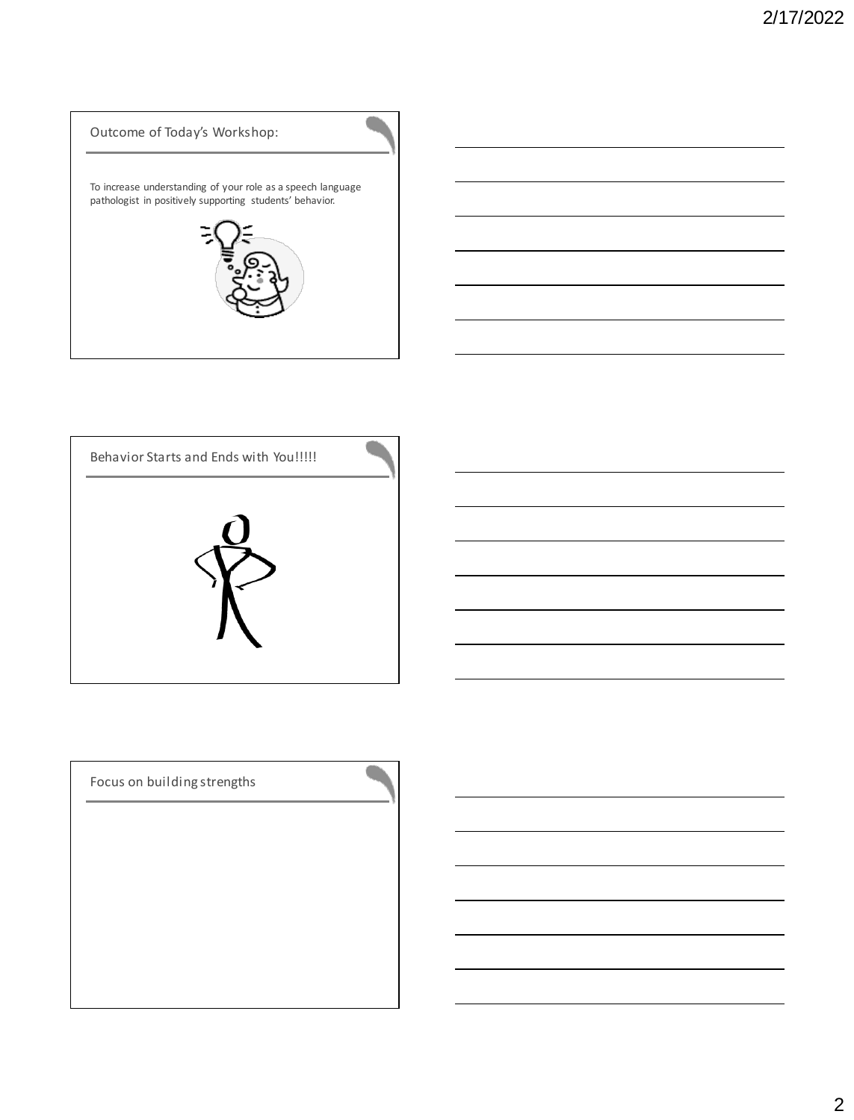



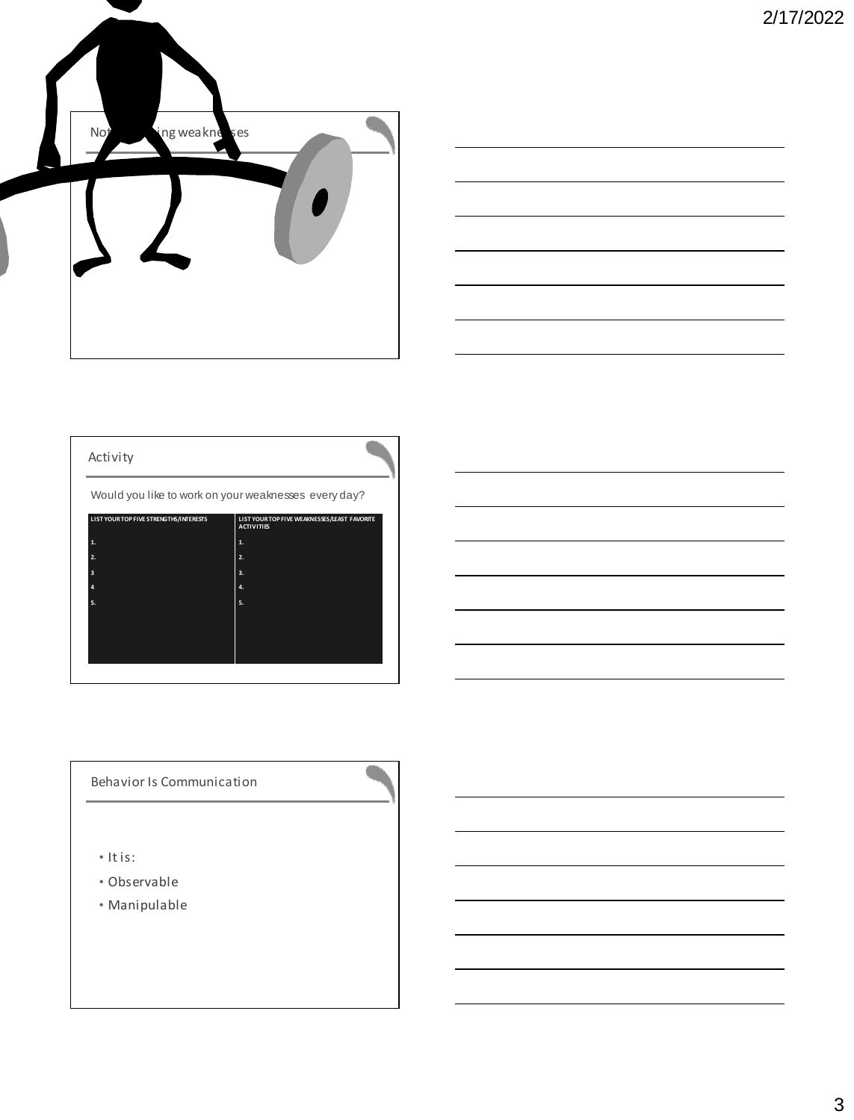



# Activity

Would you like to work on your weaknesses every day?

| LIST YOUR TOP FIVE STRENGTHS/INTERESTS | LIST YOUR TOP FIVE WEAKNESSES/LEAST FAVORITE<br><b>ACTIVITIES</b> |
|----------------------------------------|-------------------------------------------------------------------|
| 1.                                     | 1.                                                                |
| 2.                                     | 2.                                                                |
| 3                                      | 3.                                                                |
| $\overline{a}$                         | 4.                                                                |
| 5.                                     | 5.                                                                |
|                                        |                                                                   |
|                                        |                                                                   |
|                                        |                                                                   |
|                                        |                                                                   |

## Behavior Is Communication

- It is:
- Observable
- Manipulable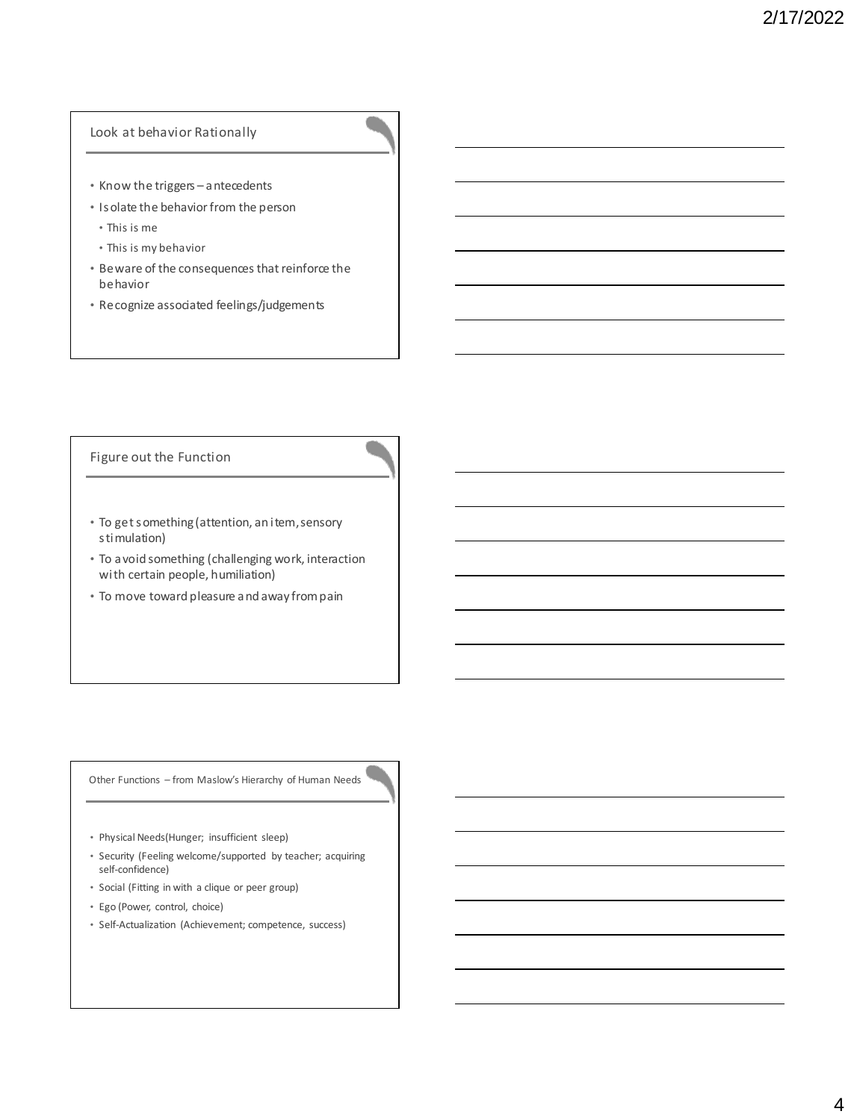### Look at behavior Rationally

- Know the triggers antecedents
- Isolate the behavior from the person
	- This is me
	- This is my behavior
- Beware of the consequences that reinforce the behavior
- Recognize associated feelings/judgements

### Figure out the Function

- To get something (attention, an item, sensory stimulation)
- To avoid something (challenging work, interaction with certain people, humiliation)
- To move toward pleasure and away from pain

Other Functions – from Maslow's Hierarchy of Human Needs

- Physical Needs(Hunger; insufficient sleep)
- Security (Feeling welcome/supported by teacher; acquiring self-confidence)
- Social (Fitting in with a clique or peer group)
- Ego (Power, control, choice)
- Self-Actualization (Achievement; competence, success)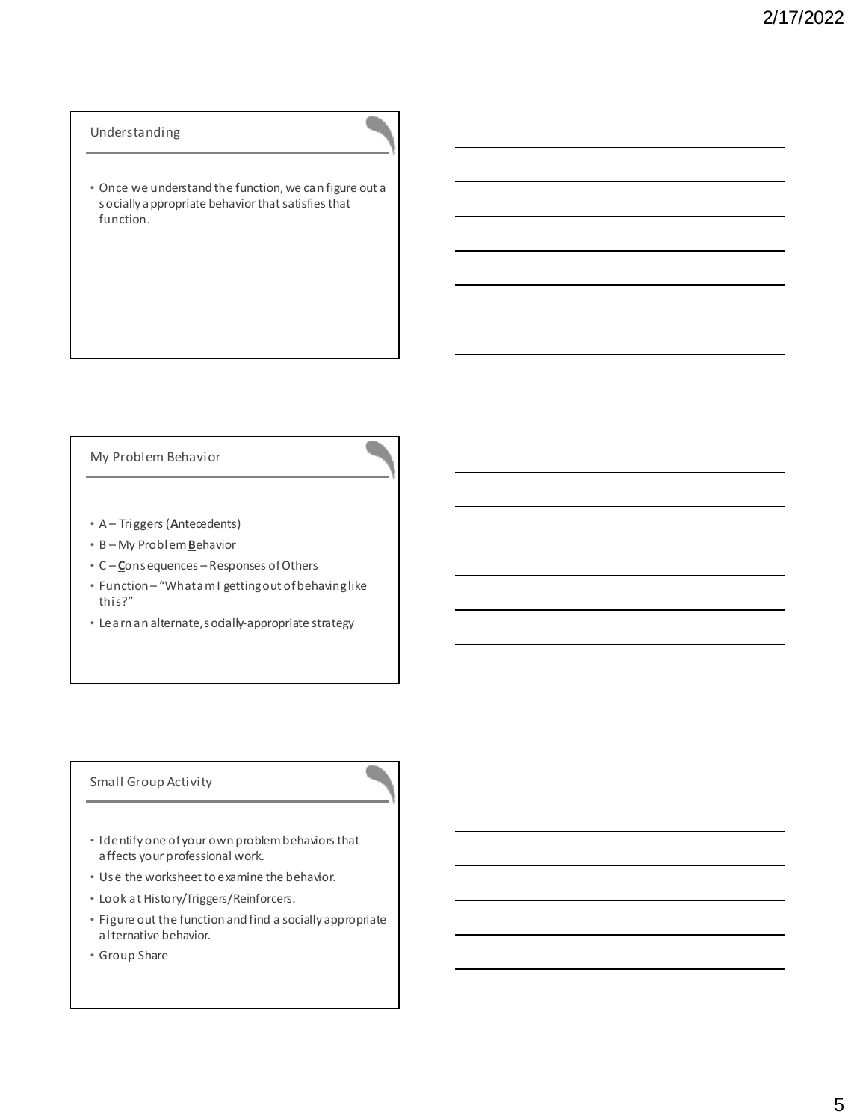### Understanding

• Once we understand the function, we can figure out a socially appropriate behavior that satisfies that function.

## My Problem Behavior

- A Triggers (**A**ntecedents)
- B My Problem **B**ehavior
- C **C**onsequences Responses of Others
- Function "What am I getting out of behaving like this?"
- Learn an alternate, socially-appropriate strategy

### Small Group Activity

- Identify one of your own problem behaviors that affects your professional work.
- Use the worksheet to examine the behavior.
- Look at History/Triggers/Reinforcers.
- Figure out the function and find a socially appropriate alternative behavior.
- Group Share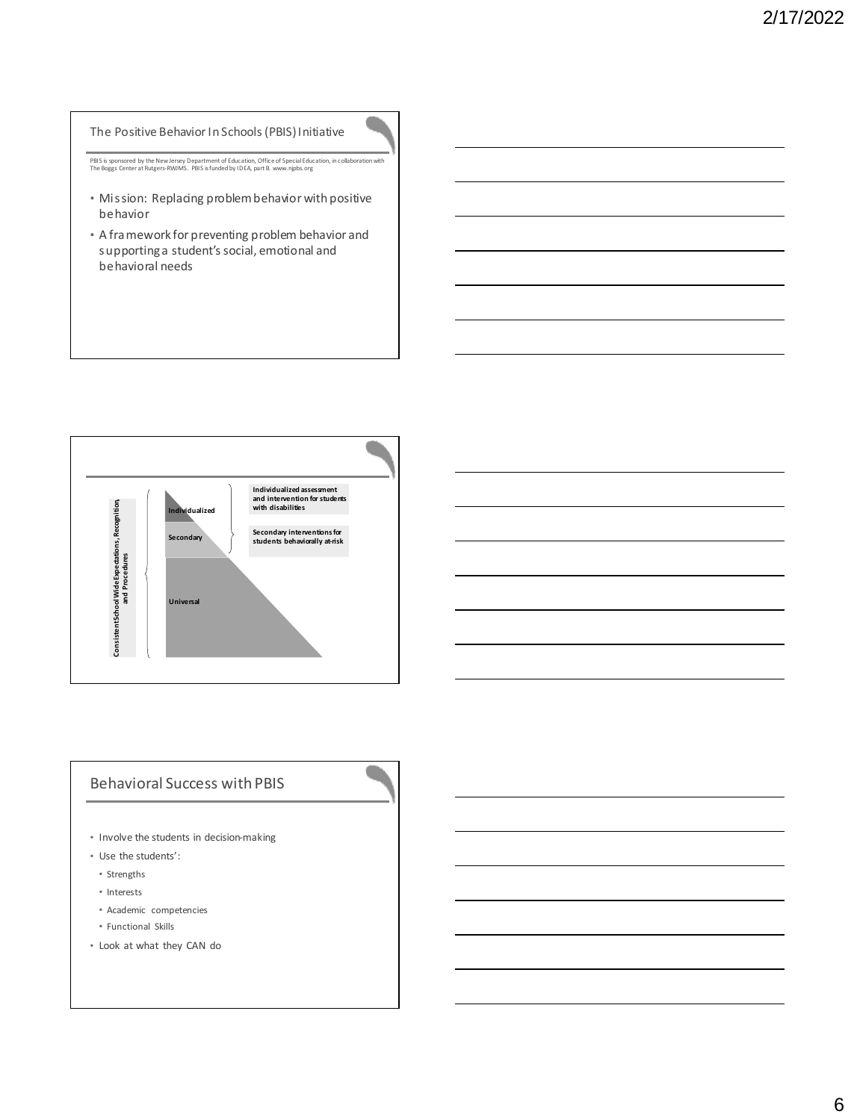## The Positive Behavior In Schools (PBIS) Initiative

PBIS is sponsored by the New Jersey Department of Education, Office of Special Education, in collaboration with The Boggs Center at Rutgers-RWJMS. PBIS is funded by IDEA, part B. www.njpbs.org

- Mission: Replacing problem behavior with positive behavior
- A framework for preventing problem behavior and supporting a student's social, emotional and behavioral needs



# Behavioral Success with PBIS

- Involve the students in decision-making
- Use the students':
- Strengths
- Interests
- Academic competencies
- Functional Skills
- Look at what they CAN do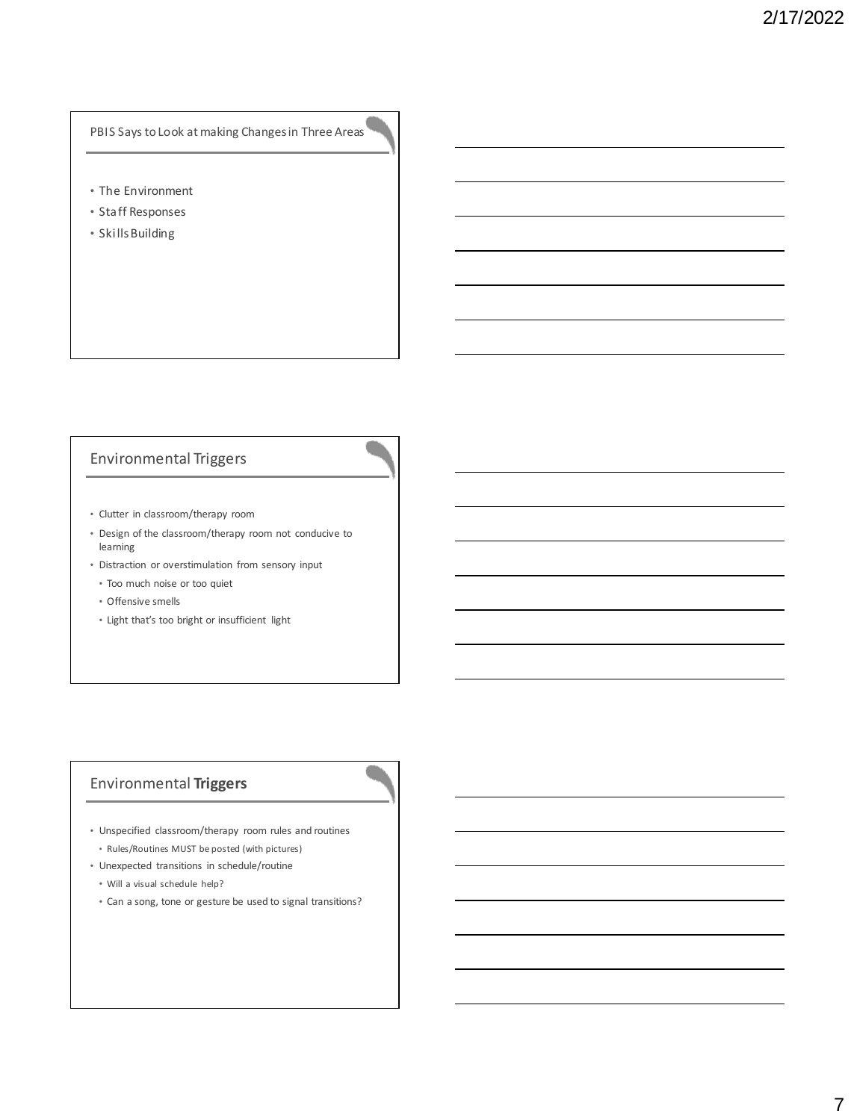# PBIS Says to Look at making Changes in Three Areas

- The Environment
- Staff Responses
- Skills Building

# Environmental Triggers

- Clutter in classroom/therapy room
- Design of the classroom/therapy room not conducive to learning
- Distraction or overstimulation from sensory input
	- Too much noise or too quiet
	- Offensive smells
	- Light that's too bright or insufficient light

# Environmental **Triggers**

- Unspecified classroom/therapy room rules and routines
- Rules/Routines MUST be posted (with pictures)
- Unexpected transitions in schedule/routine
	- Will a visual schedule help?
	- Can a song, tone or gesture be used to signal transitions?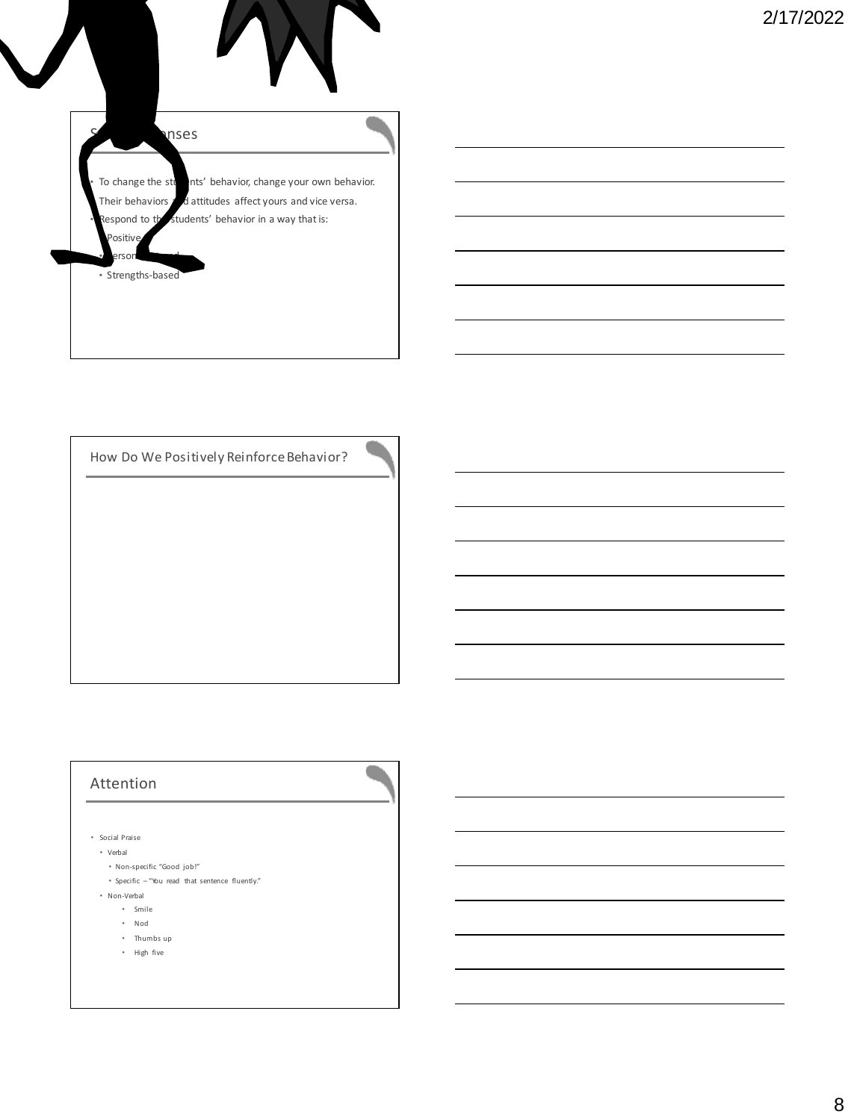

How Do We Positively Reinforce Behavior?

# Attention

- Social Praise
	- Verbal
		- Non-specific "Good job!"
		- Specific "You read that sentence fluently."
	- Non-Verbal
		- Smile
		- Nod
		- Thumbs up
		- High five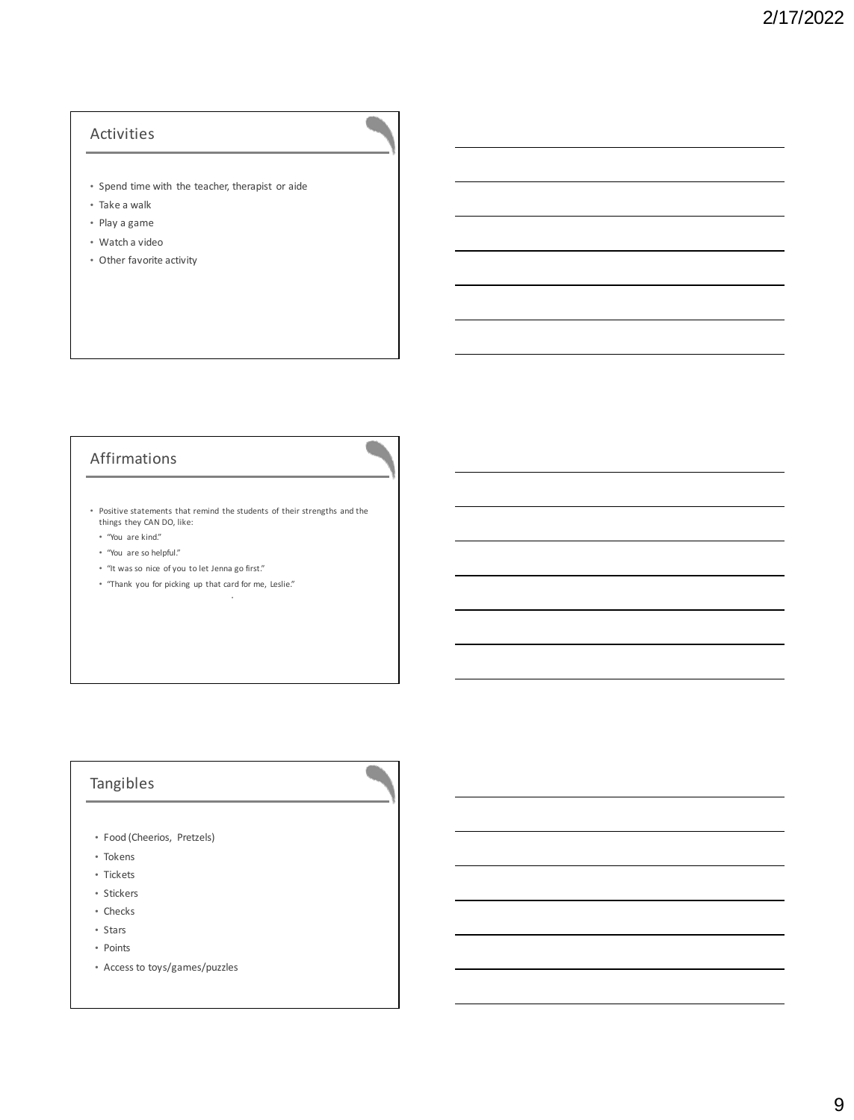# Activities

- Spend time with the teacher, therapist or aide
- Take a walk
- Play a game
- Watch a video
- Other favorite activity

# Affirmations

• Positive statements that remind the students of their strengths and the things they CAN DO, like:

•

- "You are kind."
- "You are so helpful."
- "It was so nice of you to let Jenna go first."
- "Thank you for picking up that card for me, Leslie."

# Tangibles

- Food (Cheerios, Pretzels)
- Tokens
- Tickets
- Stickers
- Checks
- Stars
- Points
- Access to toys/games/puzzles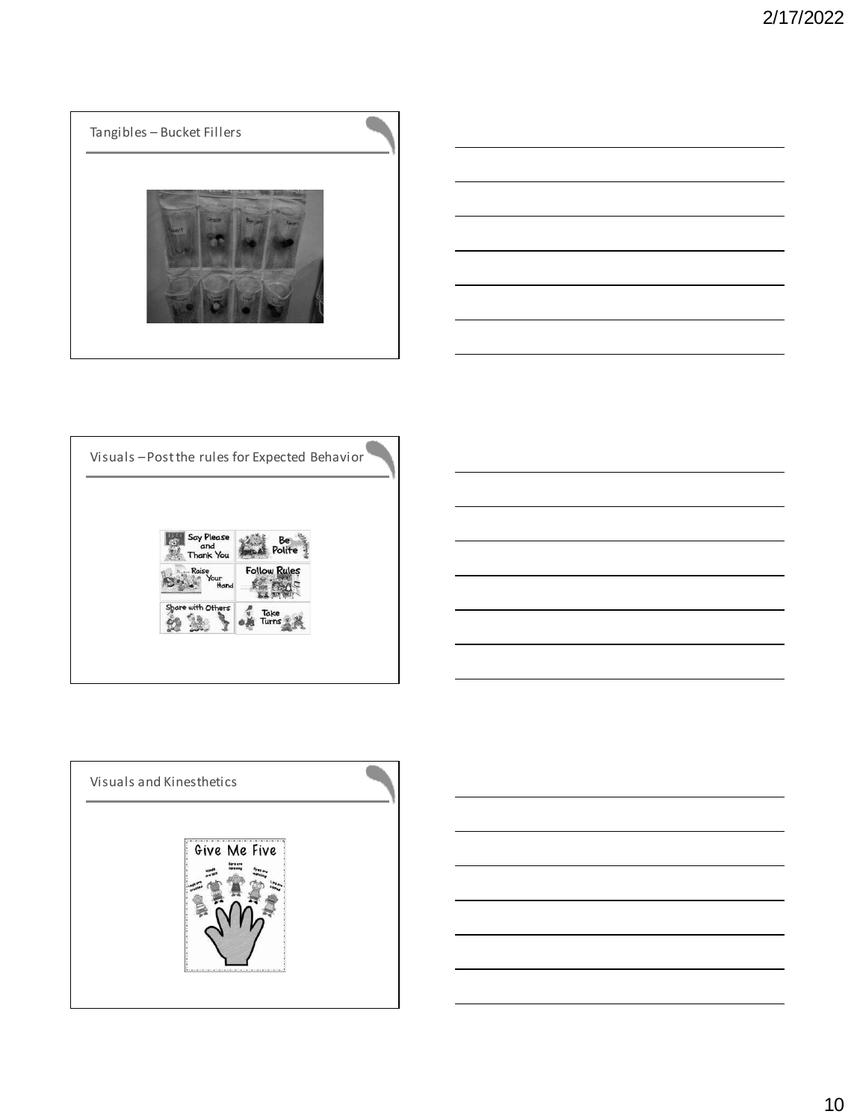# Tangibles – Bucket Fillers



 $\blacksquare$ 





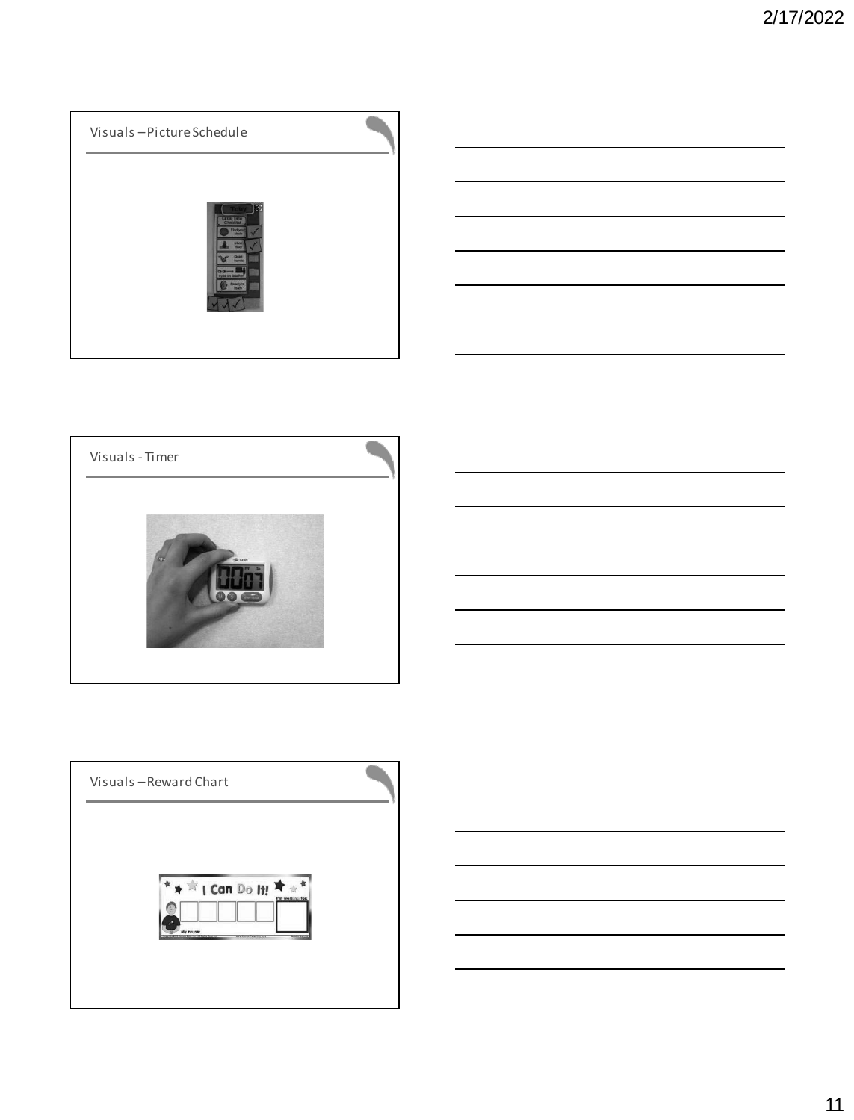

![](_page_10_Picture_2.jpeg)

![](_page_10_Figure_3.jpeg)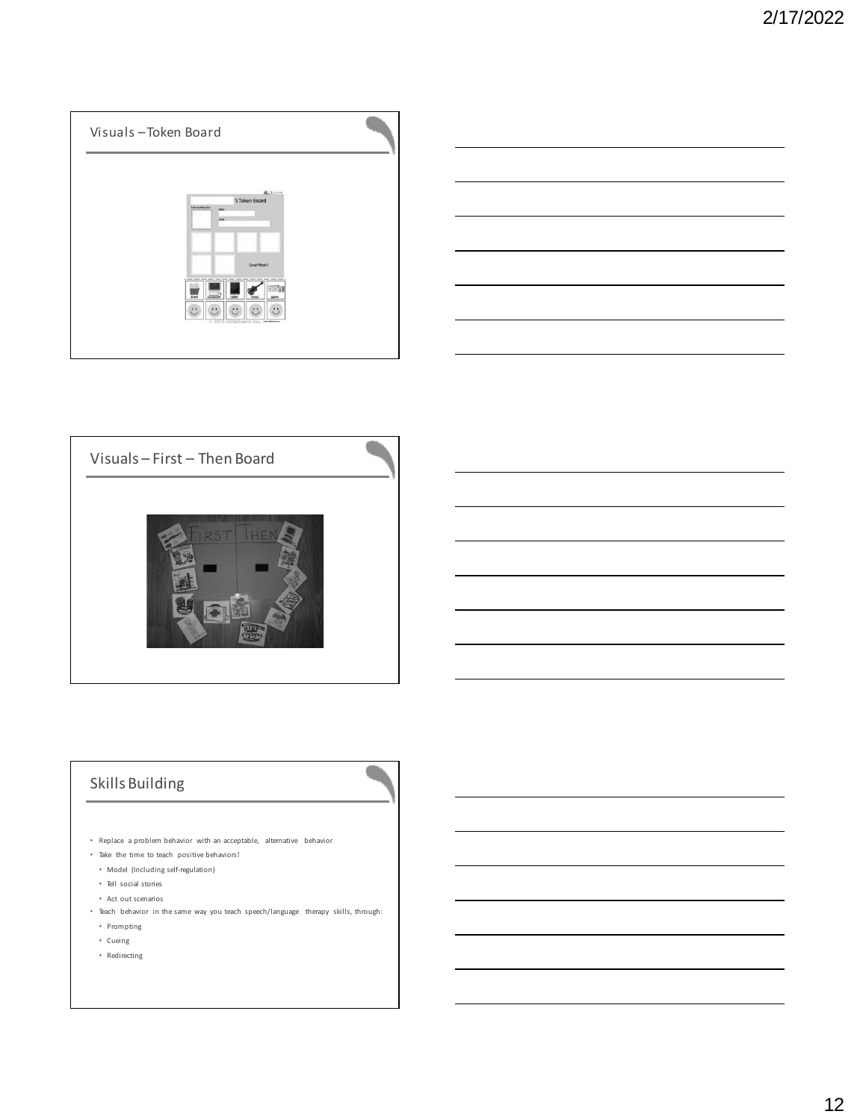![](_page_11_Picture_1.jpeg)

![](_page_11_Figure_2.jpeg)

![](_page_11_Picture_3.jpeg)

![](_page_11_Picture_4.jpeg)

# Skills Building

- Replace a problem behavior with an acceptable, alternative behavior
- Take the time to teach positive behaviors!
- Model (Including self-regulation)
- Tell social stories
- Act out scenarios
- Teach behavior in the same way you teach speech/language therapy skills, through: • Prompting
- Cueing
- Redirecting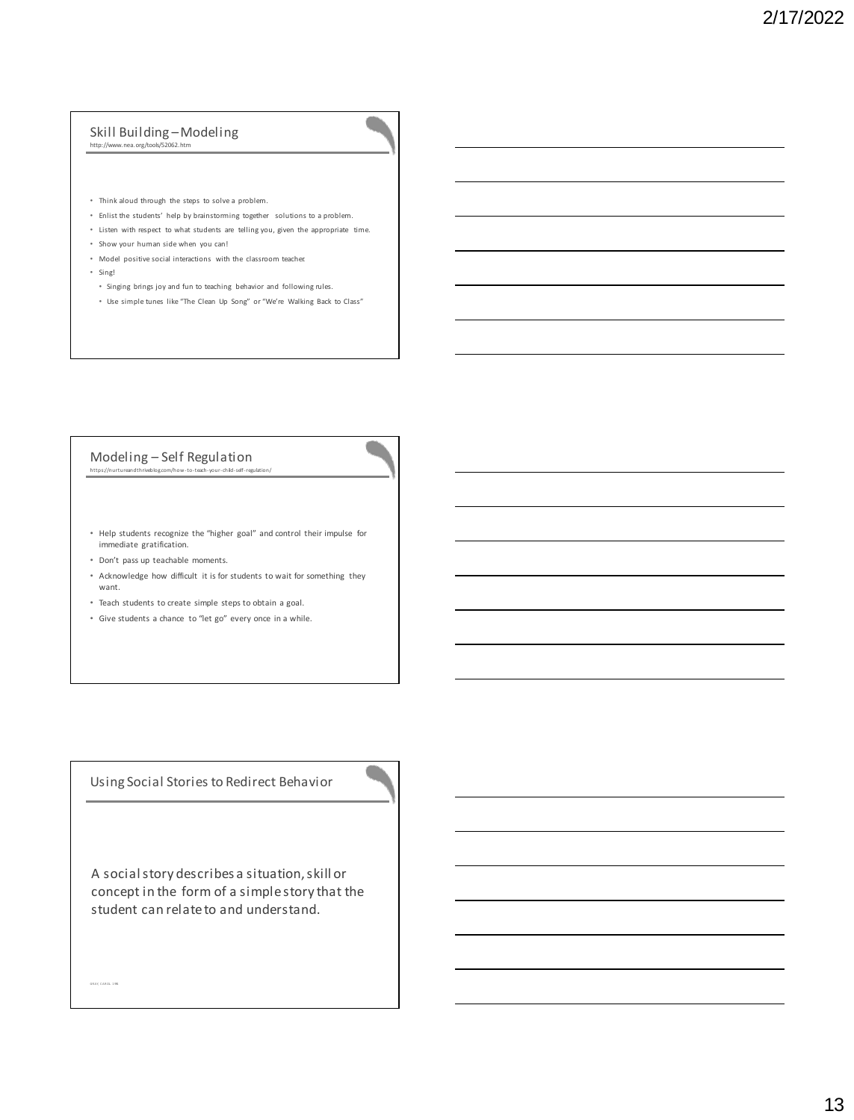# Skill Building –Modeling http://www.nea.org/tools/52062.htm

- 
- Think aloud through the steps to solve a problem.
- Enlist the students' help by brainstorming together solutions to a problem.
- Listen with respect to what students are telling you, given the appropriate time.
- Show your human side when you can!
- Model positive social interactions with the classroom teacher.
- Sing!
- Singing brings joy and fun to teaching behavior and following rules.
- Use simple tunes like "The Clean Up Song" or "We're Walking Back to Class"

#### Modeling – Self Regulation<br>https://nurtureandthriveblog.com/how-to-teach-your-child-self-regu https://nurturean

![](_page_12_Picture_12.jpeg)

- Help students recognize the "higher goal" and control their impulse for immediate gratification.
- Don't pass up teachable moments.

GR AY, C AR OL. 1 991

- Acknowledge how difficult it is for students to wait for something they want.
- Teach students to create simple steps to obtain a goal.
- Give students a chance to "let go" every once in a while.

Using Social Stories to Redirect Behavior

A social story describes a situation, skill or concept in the form of a simple story that the student can relate to and understand.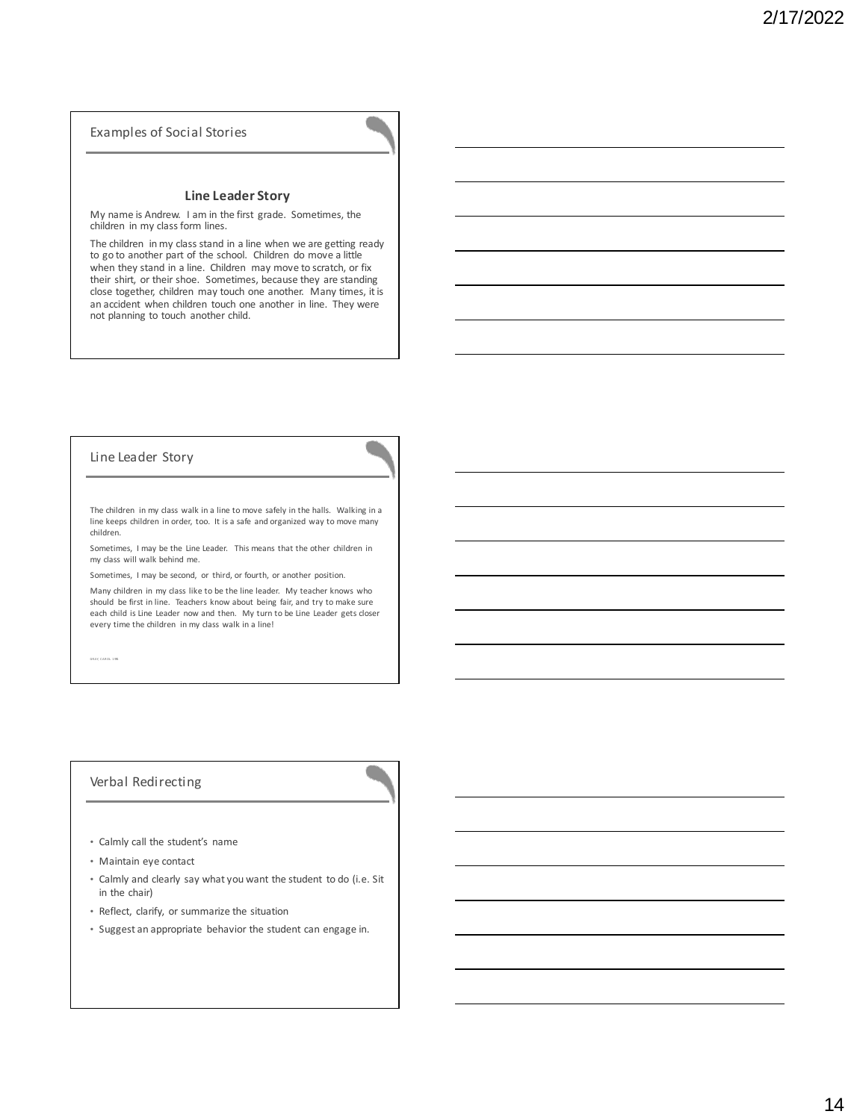### Examples of Social Stories

### **Line Leader Story**

My name is Andrew. I am in the first grade. Sometimes, the children in my class form lines.

The children in my class stand in a line when we are getting ready to go to another part of the school. Children do move a little when they stand in a line. Children may move to scratch, or fix their shirt, or their shoe. Sometimes, because they are standing close together, children may touch one another. Many times, it is an accident when children touch one another in line. They were not planning to touch another child.

### Line Leader Story

The children in my class walk in a line to move safely in the halls. Walking in a line keeps children in order, too. It is a safe and organized way to move many children.

Sometimes, I may be the Line Leader. This means that the other children in my class will walk behind me.

Sometimes, I may be second, or third, or fourth, or another position.

Many children in my class like to be the line leader. My teacher knows who should be first in line. Teachers know about being fair, and try to make sure each child is Line Leader now and then. My turn to be Line Leader gets closer every time the children in my class walk in a line!

GR AY, C AR OL. 1 991

### Verbal Redirecting

- Calmly call the student's name
- Maintain eye contact
- Calmly and clearly say what you want the student to do (i.e. Sit in the chair)
- Reflect, clarify, or summarize the situation
- Suggest an appropriate behavior the student can engage in.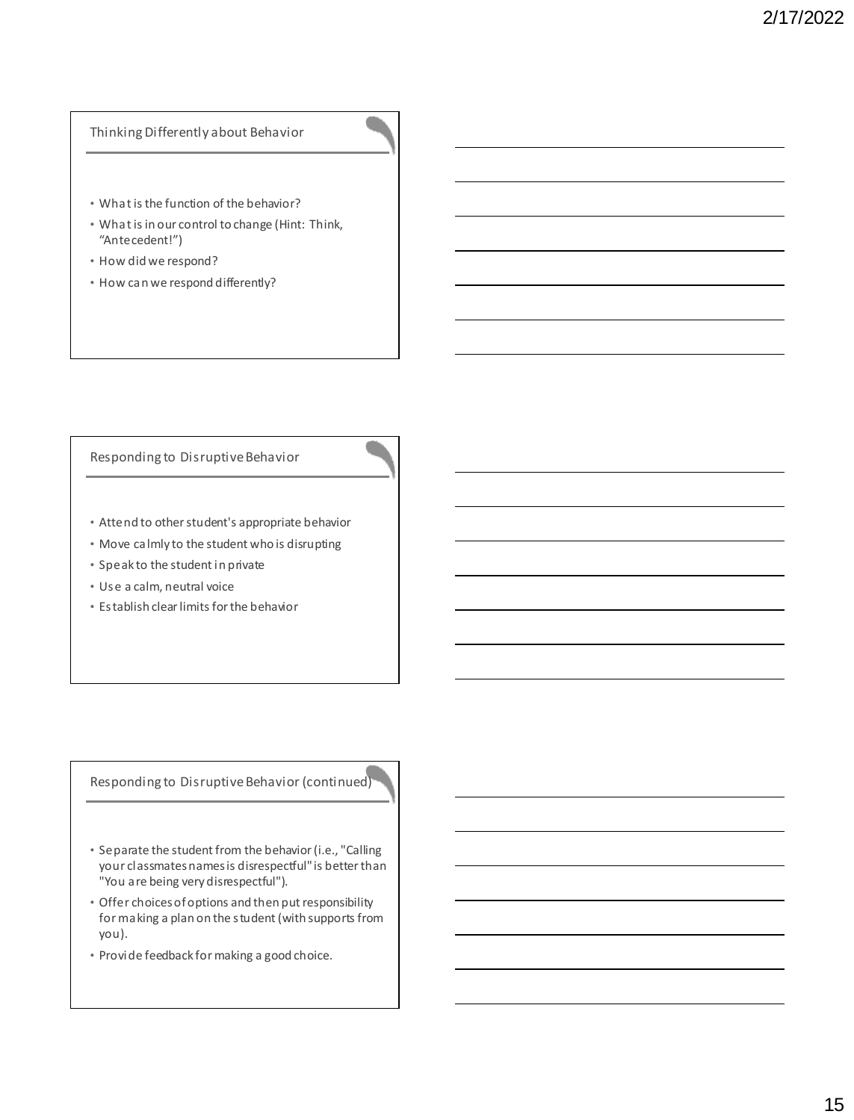## Thinking Differently about Behavior

- What is the function of the behavior?
- What is in our control to change (Hint: Think, "Antecedent!")
- How did we respond?
- How can we respond differently?

### Responding to Disruptive Behavior

- Attend to other student's appropriate behavior
- Move calmly to the student who is disrupting
- Speak to the student in private
- Use a calm, neutral voice
- Establish clear limits for the behavior

## Responding to Disruptive Behavior (continued)

- Separate the student from the behavior (i.e., "Calling your classmates names is disrespectful" is better than "You are being very disrespectful").
- Offer choices of options and then put responsibility for making a plan on the student (with supports from you).
- Provide feedback for making a good choice.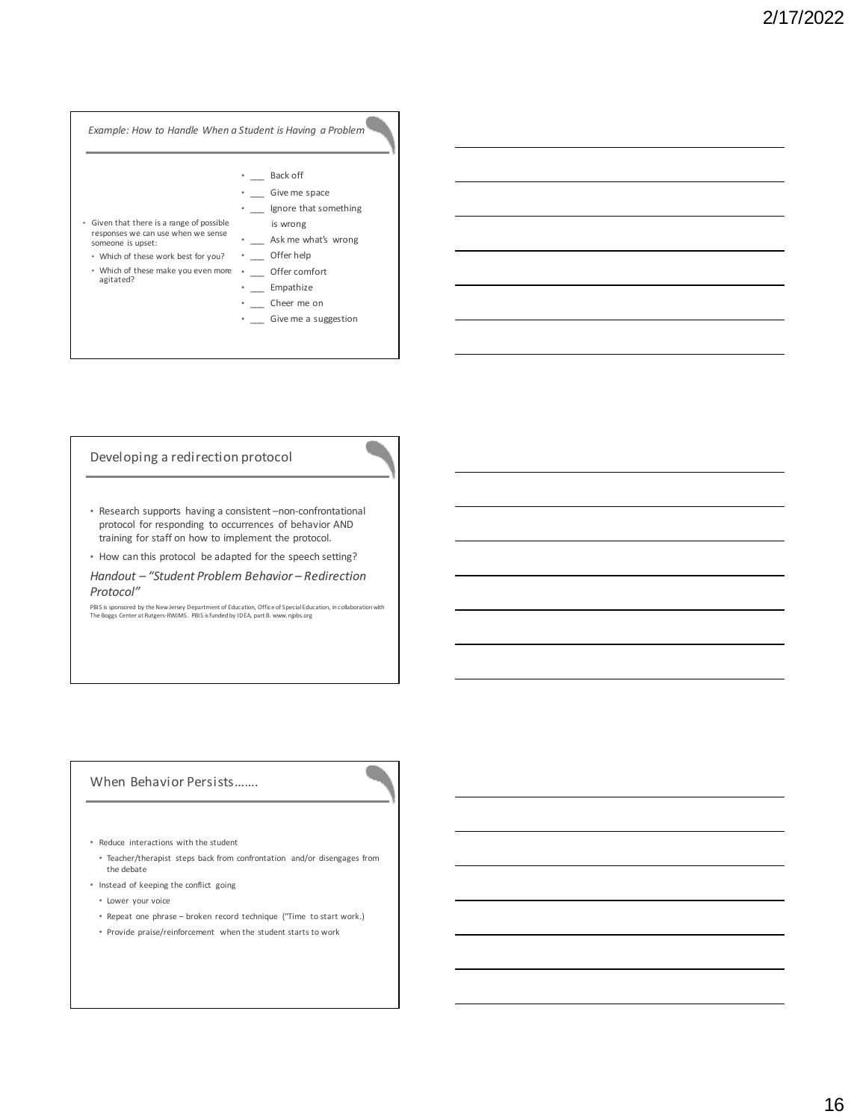![](_page_15_Figure_1.jpeg)

#### Developing a redirection protocol

- Research supports having a consistent –non-confrontational protocol for responding to occurrences of behavior AND training for staff on how to implement the protocol.
- How can this protocol be adapted for the speech setting?
- *Handout – "Student Problem Behavior – Redirection Protocol"*

PBIS is sponsored by the New Jersey Department of Education, Office of Special Education, in collaboration with The Boggs Center at Rutgers-RWJMS. PBIS is funded by IDEA, part B. www.njpbs.org

### When Behavior Persists…….

- Reduce interactions with the student
	- Teacher/therapist steps back from confrontation and/or disengages from the debate
- Instead of keeping the conflict going
- Lower your voice
- Repeat one phrase broken record technique ("Time to start work.)
- Provide praise/reinforcement when the student starts to work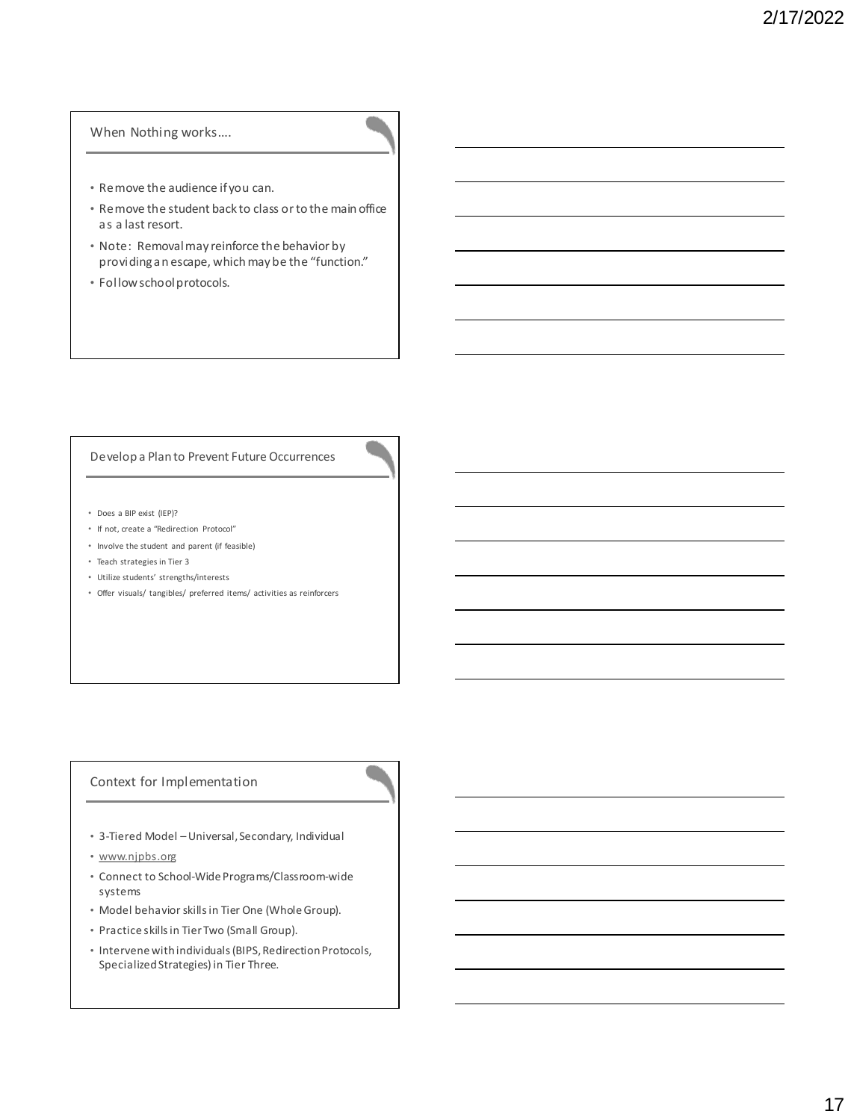### When Nothing works….

- Remove the audience if you can.
- Remove the student back to class or to the main office as a last resort.
- Note: Removal may reinforce the behavior by providing an escape, which may be the "function."
- Follow school protocols.

### Develop a Plan to Prevent Future Occurrences

- Does a BIP exist (IEP)?
- If not, create a "Redirection Protocol"
- Involve the student and parent (if feasible)
- Teach strategies in Tier 3
- Utilize students' strengths/interests
- Offer visuals/ tangibles/ preferred items/ activities as reinforcers

## Context for Implementation

- 3-Tiered Model –Universal, Secondary, Individual
- www.njpbs.org
- Connect to School-Wide Programs/Classroom-wide systems
- Model behavior skills in Tier One (Whole Group).
- Practice skills in Tier Two (Small Group).
- Intervene with individuals (BIPS, Redirection Protocols, Specialized Strategies) in Tier Three.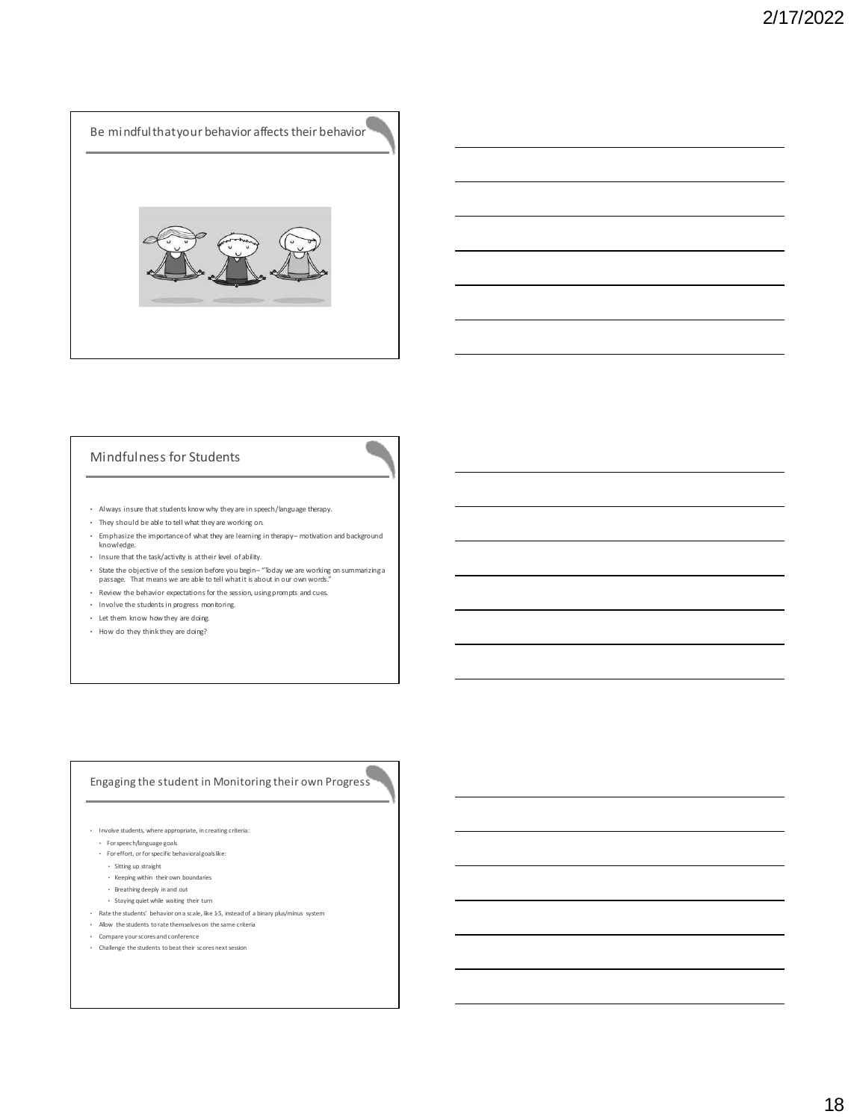![](_page_17_Picture_1.jpeg)

## Mindfulness for Students

- Always insure that students know why they are in speech/language therapy.
- They should be able to tell what they are working on.
- Emphasize the importance of what they are learning in therapy motivation and background knowledge.
- Insure that the task/activity is at their level of ability.
- State the objective of the session before you begin "Today we are working on summarizing a passage. That means we are able to tell what it is about in our own words."
- Review the behavior expectations for the session, using prompts and cues.
- Involve the students in progress monitoring.
- Let them know how they are doing.
- How do they think they are doing?

## Engaging the student in Monitoring their own Progress

- Involve students, where appropriate, in creating criteria:
- For speech/language goals
- For effort, or for specific behavioral goals like:
- Sitting up straight
- Keeping within their own boundaries
- Breathing deeply in and out
- Staying quiet while waiting their turn
- $\cdot$  Rate the students' behavior on a scale, like 1-5, instead of a binary plus/minus system
- Allow the students to rate themselves on the same criteria
- Compare your scores and conference
- Challenge the students to beat their scores next session